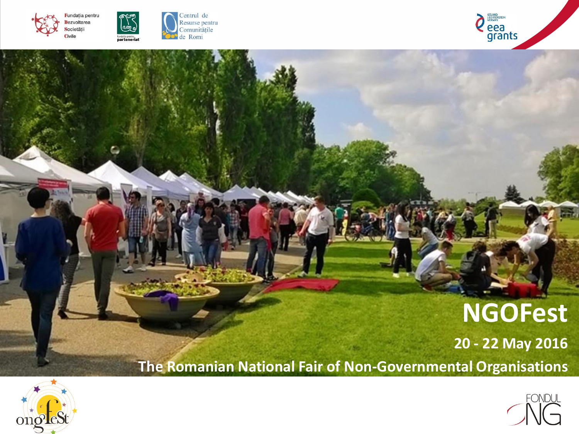

Fundația pentru Dezvoltarea ocietății **Civile** 



Centrul de<br>Resurse pentru<br>Comunitățile

de Romi



# **NGOFest**

**20 - 22 May 2016**

**The Romanian National Fair of Non-Governmental Organisations** 



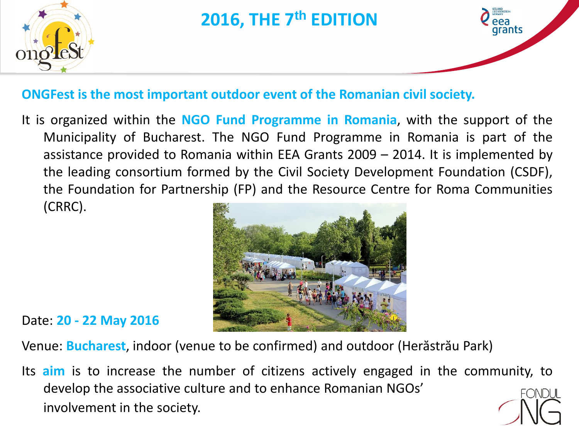

arants

## **ONGFest is the most important outdoor event of the Romanian civil society.**

It is organized within the **NGO Fund Programme in Romania**, with the support of the Municipality of Bucharest. The NGO Fund Programme in Romania is part of the assistance provided to Romania within EEA Grants 2009 – 2014. It is implemented by the leading consortium formed by the Civil Society Development Foundation (CSDF), the Foundation for Partnership (FP) and the Resource Centre for Roma Communities (CRRC).



Date: **20 - 22 May 2016**

Venue: **Bucharest**, indoor (venue to be confirmed) and outdoor (Herăstrău Park)

Its **aim** is to increase the number of citizens actively engaged in the community, to develop the associative culture and to enhance Romanian NGOs' involvement in the society.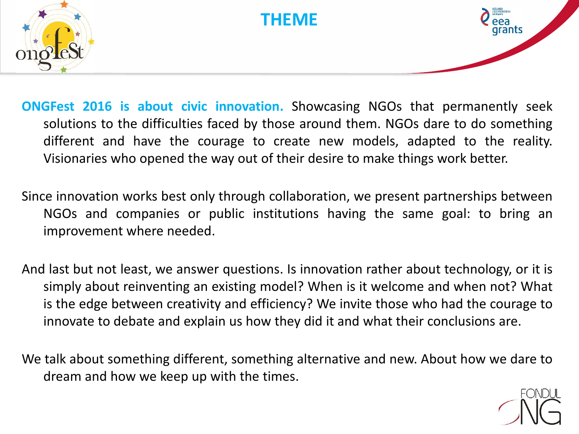



**THEME** 

Since innovation works best only through collaboration, we present partnerships between NGOs and companies or public institutions having the same goal: to bring an improvement where needed.

And last but not least, we answer questions. Is innovation rather about technology, or it is simply about reinventing an existing model? When is it welcome and when not? What is the edge between creativity and efficiency? We invite those who had the courage to innovate to debate and explain us how they did it and what their conclusions are.

We talk about something different, something alternative and new. About how we dare to dream and how we keep up with the times.

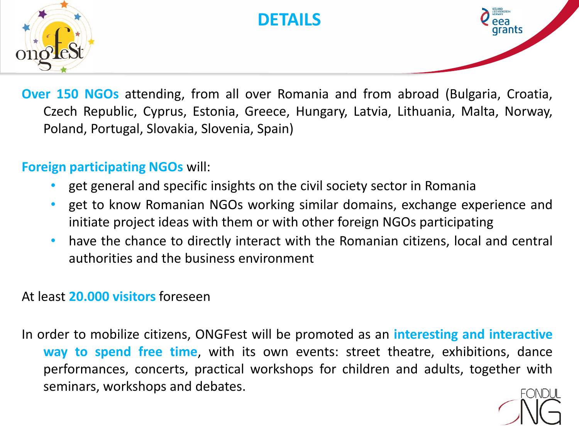



**Over 150 NGOs** attending, from all over Romania and from abroad (Bulgaria, Croatia, Czech Republic, Cyprus, Estonia, Greece, Hungary, Latvia, Lithuania, Malta, Norway, Poland, Portugal, Slovakia, Slovenia, Spain)

#### **Foreign participating NGOs** will:

- get general and specific insights on the civil society sector in Romania
- get to know Romanian NGOs working similar domains, exchange experience and initiate project ideas with them or with other foreign NGOs participating
- have the chance to directly interact with the Romanian citizens, local and central authorities and the business environment

## At least **20.000 visitors** foreseen

In order to mobilize citizens, ONGFest will be promoted as an **interesting and interactive way to spend free time**, with its own events: street theatre, exhibitions, dance performances, concerts, practical workshops for children and adults, together with seminars, workshops and debates.

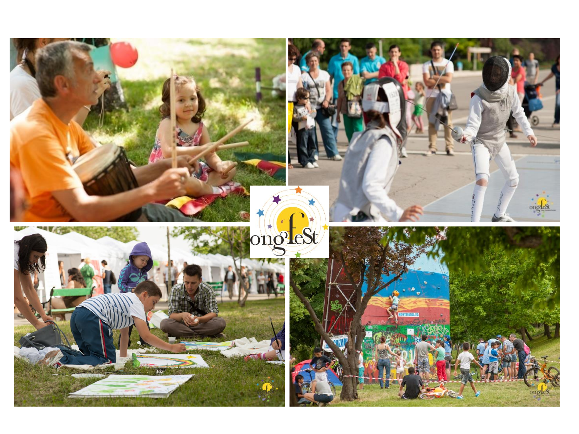